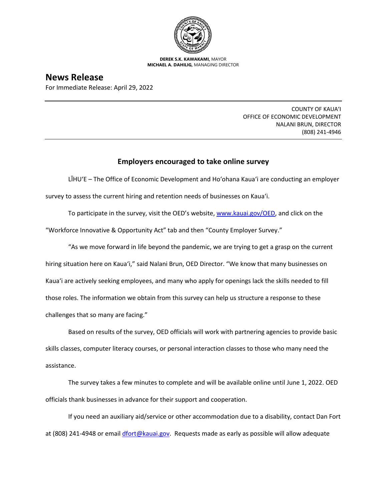

**DEREK S.K. KAWAKAMI,** MAYOR **MICHAEL A. DAHILIG,** MANAGING DIRECTOR

**News Release**

For Immediate Release: April 29, 2022

COUNTY OF KAUA'I OFFICE OF ECONOMIC DEVELOPMENT NALANI BRUN, DIRECTOR (808) 241-4946

## **Employers encouraged to take online survey**

LĪHU'E – The Office of Economic Development and Ho'ohana Kaua'i are conducting an employer survey to assess the current hiring and retention needs of businesses on Kaua'i.

To participate in the survey, visit the OED's website, [www.kauai.gov/OED](http://www.kauai.gov/OED), and click on the

"Workforce Innovative & Opportunity Act" tab and then "County Employer Survey."

"As we move forward in life beyond the pandemic, we are trying to get a grasp on the current hiring situation here on Kaua'i," said Nalani Brun, OED Director. "We know that many businesses on Kaua'i are actively seeking employees, and many who apply for openings lack the skills needed to fill those roles. The information we obtain from this survey can help us structure a response to these challenges that so many are facing."

Based on results of the survey, OED officials will work with partnering agencies to provide basic skills classes, computer literacy courses, or personal interaction classes to those who many need the assistance.

The survey takes a few minutes to complete and will be available online until June 1, 2022. OED officials thank businesses in advance for their support and cooperation.

If you need an auxiliary aid/service or other accommodation due to a disability, contact Dan Fort at (808) 241-4948 or email [dfort@kauai.gov.](mailto:dfort@kauai.gov) Requests made as early as possible will allow adequate